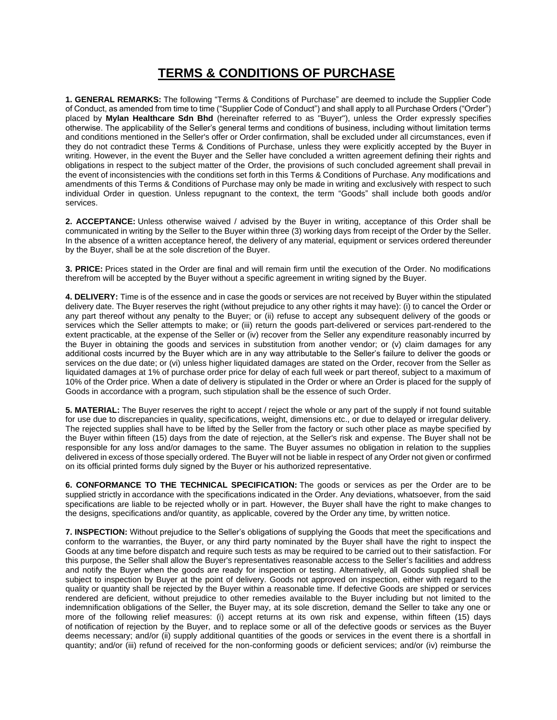## **TERMS & CONDITIONS OF PURCHASE**

**1. GENERAL REMARKS:** The following "Terms & Conditions of Purchase" are deemed to include the Supplier Code of Conduct, as amended from time to time ("Supplier Code of Conduct") and shall apply to all Purchase Orders ("Order") placed by **Mylan Healthcare Sdn Bhd** (hereinafter referred to as "Buyer"), unless the Order expressly specifies otherwise. The applicability of the Seller's general terms and conditions of business, including without limitation terms and conditions mentioned in the Seller's offer or Order confirmation, shall be excluded under all circumstances, even if they do not contradict these Terms & Conditions of Purchase, unless they were explicitly accepted by the Buyer in writing. However, in the event the Buyer and the Seller have concluded a written agreement defining their rights and obligations in respect to the subject matter of the Order, the provisions of such concluded agreement shall prevail in the event of inconsistencies with the conditions set forth in this Terms & Conditions of Purchase. Any modifications and amendments of this Terms & Conditions of Purchase may only be made in writing and exclusively with respect to such individual Order in question. Unless repugnant to the context, the term "Goods" shall include both goods and/or services.

**2. ACCEPTANCE:** Unless otherwise waived / advised by the Buyer in writing, acceptance of this Order shall be communicated in writing by the Seller to the Buyer within three (3) working days from receipt of the Order by the Seller. In the absence of a written acceptance hereof, the delivery of any material, equipment or services ordered thereunder by the Buyer, shall be at the sole discretion of the Buyer.

**3. PRICE:** Prices stated in the Order are final and will remain firm until the execution of the Order. No modifications therefrom will be accepted by the Buyer without a specific agreement in writing signed by the Buyer.

**4. DELIVERY:** Time is of the essence and in case the goods or services are not received by Buyer within the stipulated delivery date. The Buyer reserves the right (without prejudice to any other rights it may have): (i) to cancel the Order or any part thereof without any penalty to the Buyer; or (ii) refuse to accept any subsequent delivery of the goods or services which the Seller attempts to make; or (iii) return the goods part-delivered or services part-rendered to the extent practicable, at the expense of the Seller or (iv) recover from the Seller any expenditure reasonably incurred by the Buyer in obtaining the goods and services in substitution from another vendor; or (v) claim damages for any additional costs incurred by the Buyer which are in any way attributable to the Seller's failure to deliver the goods or services on the due date; or (vi) unless higher liquidated damages are stated on the Order, recover from the Seller as liquidated damages at 1% of purchase order price for delay of each full week or part thereof, subject to a maximum of 10% of the Order price. When a date of delivery is stipulated in the Order or where an Order is placed for the supply of Goods in accordance with a program, such stipulation shall be the essence of such Order.

**5. MATERIAL:** The Buyer reserves the right to accept / reject the whole or any part of the supply if not found suitable for use due to discrepancies in quality, specifications, weight, dimensions etc., or due to delayed or irregular delivery. The rejected supplies shall have to be lifted by the Seller from the factory or such other place as maybe specified by the Buyer within fifteen (15) days from the date of rejection, at the Seller's risk and expense. The Buyer shall not be responsible for any loss and/or damages to the same. The Buyer assumes no obligation in relation to the supplies delivered in excess of those specially ordered. The Buyer will not be liable in respect of any Order not given or confirmed on its official printed forms duly signed by the Buyer or his authorized representative.

**6. CONFORMANCE TO THE TECHNICAL SPECIFICATION:** The goods or services as per the Order are to be supplied strictly in accordance with the specifications indicated in the Order. Any deviations, whatsoever, from the said specifications are liable to be rejected wholly or in part. However, the Buyer shall have the right to make changes to the designs, specifications and/or quantity, as applicable, covered by the Order any time, by written notice.

**7. INSPECTION:** Without prejudice to the Seller's obligations of supplying the Goods that meet the specifications and conform to the warranties, the Buyer, or any third party nominated by the Buyer shall have the right to inspect the Goods at any time before dispatch and require such tests as may be required to be carried out to their satisfaction. For this purpose, the Seller shall allow the Buyer's representatives reasonable access to the Seller's facilities and address and notify the Buyer when the goods are ready for inspection or testing. Alternatively, all Goods supplied shall be subject to inspection by Buyer at the point of delivery. Goods not approved on inspection, either with regard to the quality or quantity shall be rejected by the Buyer within a reasonable time. If defective Goods are shipped or services rendered are deficient, without prejudice to other remedies available to the Buyer including but not limited to the indemnification obligations of the Seller, the Buyer may, at its sole discretion, demand the Seller to take any one or more of the following relief measures: (i) accept returns at its own risk and expense, within fifteen (15) days of notification of rejection by the Buyer, and to replace some or all of the defective goods or services as the Buyer deems necessary; and/or (ii) supply additional quantities of the goods or services in the event there is a shortfall in quantity; and/or (iii) refund of received for the non-conforming goods or deficient services; and/or (iv) reimburse the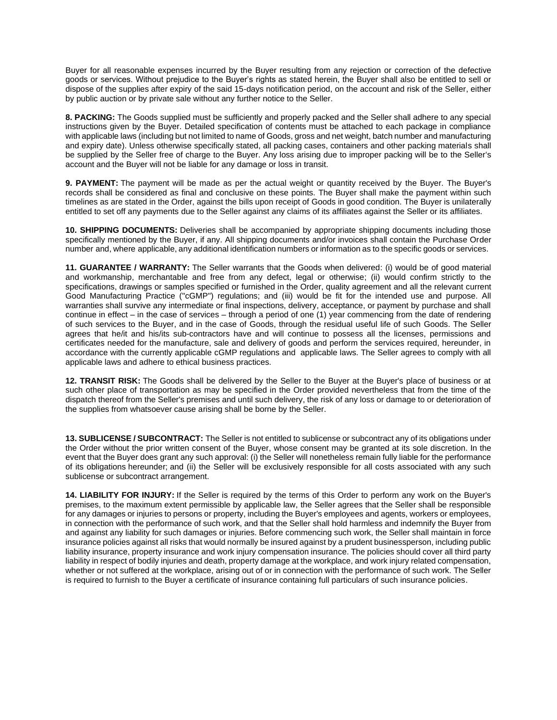Buyer for all reasonable expenses incurred by the Buyer resulting from any rejection or correction of the defective goods or services. Without prejudice to the Buyer's rights as stated herein, the Buyer shall also be entitled to sell or dispose of the supplies after expiry of the said 15-days notification period, on the account and risk of the Seller, either by public auction or by private sale without any further notice to the Seller.

**8. PACKING:** The Goods supplied must be sufficiently and properly packed and the Seller shall adhere to any special instructions given by the Buyer. Detailed specification of contents must be attached to each package in compliance with applicable laws (including but not limited to name of Goods, gross and net weight, batch number and manufacturing and expiry date). Unless otherwise specifically stated, all packing cases, containers and other packing materials shall be supplied by the Seller free of charge to the Buyer. Any loss arising due to improper packing will be to the Seller's account and the Buyer will not be liable for any damage or loss in transit.

**9. PAYMENT:** The payment will be made as per the actual weight or quantity received by the Buyer. The Buyer's records shall be considered as final and conclusive on these points. The Buyer shall make the payment within such timelines as are stated in the Order, against the bills upon receipt of Goods in good condition. The Buyer is unilaterally entitled to set off any payments due to the Seller against any claims of its affiliates against the Seller or its affiliates.

**10. SHIPPING DOCUMENTS:** Deliveries shall be accompanied by appropriate shipping documents including those specifically mentioned by the Buyer, if any. All shipping documents and/or invoices shall contain the Purchase Order number and, where applicable, any additional identification numbers or information as to the specific goods or services.

**11. GUARANTEE / WARRANTY:** The Seller warrants that the Goods when delivered: (i) would be of good material and workmanship, merchantable and free from any defect, legal or otherwise; (ii) would confirm strictly to the specifications, drawings or samples specified or furnished in the Order, quality agreement and all the relevant current Good Manufacturing Practice ("cGMP") regulations; and (iii) would be fit for the intended use and purpose. All warranties shall survive any intermediate or final inspections, delivery, acceptance, or payment by purchase and shall continue in effect – in the case of services – through a period of one (1) year commencing from the date of rendering of such services to the Buyer, and in the case of Goods, through the residual useful life of such Goods. The Seller agrees that he/it and his/its sub-contractors have and will continue to possess all the licenses, permissions and certificates needed for the manufacture, sale and delivery of goods and perform the services required, hereunder, in accordance with the currently applicable cGMP regulations and applicable laws. The Seller agrees to comply with all applicable laws and adhere to ethical business practices.

**12. TRANSIT RISK:** The Goods shall be delivered by the Seller to the Buyer at the Buyer's place of business or at such other place of transportation as may be specified in the Order provided nevertheless that from the time of the dispatch thereof from the Seller's premises and until such delivery, the risk of any loss or damage to or deterioration of the supplies from whatsoever cause arising shall be borne by the Seller.

**13. SUBLICENSE / SUBCONTRACT:** The Seller is not entitled to sublicense or subcontract any of its obligations under the Order without the prior written consent of the Buyer, whose consent may be granted at its sole discretion. In the event that the Buyer does grant any such approval: (i) the Seller will nonetheless remain fully liable for the performance of its obligations hereunder; and (ii) the Seller will be exclusively responsible for all costs associated with any such sublicense or subcontract arrangement.

**14. LIABILITY FOR INJURY:** If the Seller is required by the terms of this Order to perform any work on the Buyer's premises, to the maximum extent permissible by applicable law, the Seller agrees that the Seller shall be responsible for any damages or injuries to persons or property, including the Buyer's employees and agents, workers or employees, in connection with the performance of such work, and that the Seller shall hold harmless and indemnify the Buyer from and against any liability for such damages or injuries. Before commencing such work, the Seller shall maintain in force insurance policies against all risks that would normally be insured against by a prudent businessperson, including public liability insurance, property insurance and work injury compensation insurance. The policies should cover all third party liability in respect of bodily injuries and death, property damage at the workplace, and work injury related compensation, whether or not suffered at the workplace, arising out of or in connection with the performance of such work. The Seller is required to furnish to the Buyer a certificate of insurance containing full particulars of such insurance policies.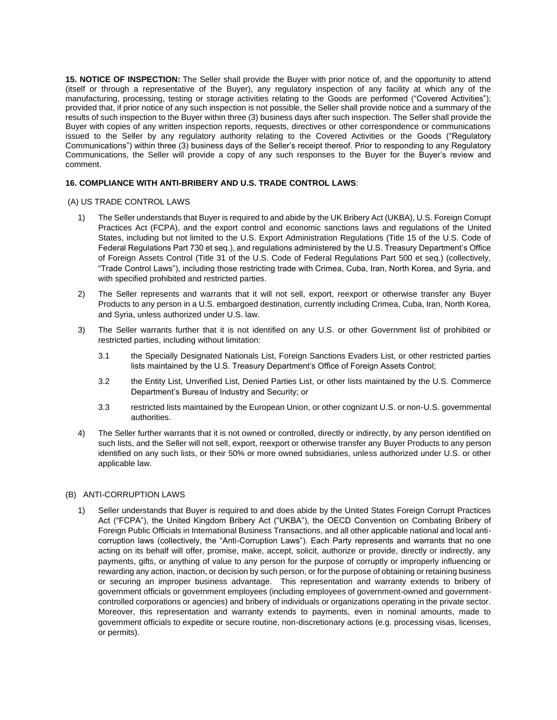**15. NOTICE OF INSPECTION:** The Seller shall provide the Buyer with prior notice of, and the opportunity to attend (itself or through a representative of the Buyer), any regulatory inspection of any facility at which any of the manufacturing, processing, testing or storage activities relating to the Goods are performed ("Covered Activities"); provided that, if prior notice of any such inspection is not possible, the Seller shall provide notice and a summary of the results of such inspection to the Buyer within three (3) business days after such inspection. The Seller shall provide the Buyer with copies of any written inspection reports, requests, directives or other correspondence or communications issued to the Seller by any regulatory authority relating to the Covered Activities or the Goods ("Regulatory Communications") within three (3) business days of the Seller's receipt thereof. Prior to responding to any Regulatory Communications, the Seller will provide a copy of any such responses to the Buyer for the Buyer's review and comment.

## **16. COMPLIANCE WITH ANTI-BRIBERY AND U.S. TRADE CONTROL LAWS**:

## (A) US TRADE CONTROL LAWS

- 1) The Seller understands that Buyer is required to and abide by the UK Bribery Act (UKBA), U.S. Foreign Corrupt Practices Act (FCPA), and the export control and economic sanctions laws and regulations of the United States, including but not limited to the U.S. Export Administration Regulations (Title 15 of the U.S. Code of Federal Regulations Part 730 et seq.), and regulations administered by the U.S. Treasury Department's Office of Foreign Assets Control (Title 31 of the U.S. Code of Federal Regulations Part 500 et seq.) (collectively, "Trade Control Laws"), including those restricting trade with Crimea, Cuba, Iran, North Korea, and Syria, and with specified prohibited and restricted parties.
- 2) The Seller represents and warrants that it will not sell, export, reexport or otherwise transfer any Buyer Products to any person in a U.S. embargoed destination, currently including Crimea, Cuba, Iran, North Korea, and Syria, unless authorized under U.S. law.
- 3) The Seller warrants further that it is not identified on any U.S. or other Government list of prohibited or restricted parties, including without limitation:
	- 3.1 the Specially Designated Nationals List, Foreign Sanctions Evaders List, or other restricted parties lists maintained by the U.S. Treasury Department's Office of Foreign Assets Control;
	- 3.2 the Entity List, Unverified List, Denied Parties List, or other lists maintained by the U.S. Commerce Department's Bureau of Industry and Security; or
	- 3.3 restricted lists maintained by the European Union, or other cognizant U.S. or non-U.S. governmental authorities.
- 4) The Seller further warrants that it is not owned or controlled, directly or indirectly, by any person identified on such lists, and the Seller will not sell, export, reexport or otherwise transfer any Buyer Products to any person identified on any such lists, or their 50% or more owned subsidiaries, unless authorized under U.S. or other applicable law.

## (B) ANTI-CORRUPTION LAWS

1) Seller understands that Buyer is required to and does abide by the United States Foreign Corrupt Practices Act ("FCPA"), the United Kingdom Bribery Act ("UKBA"), the OECD Convention on Combating Bribery of Foreign Public Officials in International Business Transactions, and all other applicable national and local anticorruption laws (collectively, the "Anti-Corruption Laws"). Each Party represents and warrants that no one acting on its behalf will offer, promise, make, accept, solicit, authorize or provide, directly or indirectly, any payments, gifts, or anything of value to any person for the purpose of corruptly or improperly influencing or rewarding any action, inaction, or decision by such person, or for the purpose of obtaining or retaining business or securing an improper business advantage. This representation and warranty extends to bribery of government officials or government employees (including employees of government-owned and governmentcontrolled corporations or agencies) and bribery of individuals or organizations operating in the private sector. Moreover, this representation and warranty extends to payments, even in nominal amounts, made to government officials to expedite or secure routine, non-discretionary actions (e.g. processing visas, licenses, or permits).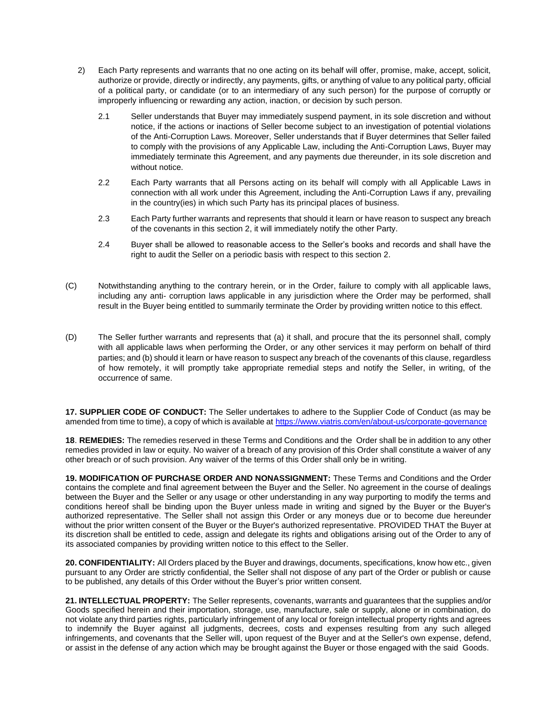- 2) Each Party represents and warrants that no one acting on its behalf will offer, promise, make, accept, solicit, authorize or provide, directly or indirectly, any payments, gifts, or anything of value to any political party, official of a political party, or candidate (or to an intermediary of any such person) for the purpose of corruptly or improperly influencing or rewarding any action, inaction, or decision by such person.
	- 2.1 Seller understands that Buyer may immediately suspend payment, in its sole discretion and without notice, if the actions or inactions of Seller become subject to an investigation of potential violations of the Anti-Corruption Laws. Moreover, Seller understands that if Buyer determines that Seller failed to comply with the provisions of any Applicable Law, including the Anti-Corruption Laws, Buyer may immediately terminate this Agreement, and any payments due thereunder, in its sole discretion and without notice.
	- 2.2 Each Party warrants that all Persons acting on its behalf will comply with all Applicable Laws in connection with all work under this Agreement, including the Anti-Corruption Laws if any, prevailing in the country(ies) in which such Party has its principal places of business.
	- 2.3 Each Party further warrants and represents that should it learn or have reason to suspect any breach of the covenants in this section 2, it will immediately notify the other Party.
	- 2.4 Buyer shall be allowed to reasonable access to the Seller's books and records and shall have the right to audit the Seller on a periodic basis with respect to this section 2.
- (C) Notwithstanding anything to the contrary herein, or in the Order, failure to comply with all applicable laws, including any anti- corruption laws applicable in any jurisdiction where the Order may be performed, shall result in the Buyer being entitled to summarily terminate the Order by providing written notice to this effect.
- (D) The Seller further warrants and represents that (a) it shall, and procure that the its personnel shall, comply with all applicable laws when performing the Order, or any other services it may perform on behalf of third parties; and (b) should it learn or have reason to suspect any breach of the covenants of this clause, regardless of how remotely, it will promptly take appropriate remedial steps and notify the Seller, in writing, of the occurrence of same.

**17. SUPPLIER CODE OF CONDUCT:** The Seller undertakes to adhere to the Supplier Code of Conduct (as may be amended from time to time), a copy of which is available at <https://www.viatris.com/en/about-us/corporate-governance>

**18**. **REMEDIES:** The remedies reserved in these Terms and Conditions and the Order shall be in addition to any other remedies provided in law or equity. No waiver of a breach of any provision of this Order shall constitute a waiver of any other breach or of such provision. Any waiver of the terms of this Order shall only be in writing.

**19. MODIFICATION OF PURCHASE ORDER AND NONASSIGNMENT:** These Terms and Conditions and the Order contains the complete and final agreement between the Buyer and the Seller. No agreement in the course of dealings between the Buyer and the Seller or any usage or other understanding in any way purporting to modify the terms and conditions hereof shall be binding upon the Buyer unless made in writing and signed by the Buyer or the Buyer's authorized representative. The Seller shall not assign this Order or any moneys due or to become due hereunder without the prior written consent of the Buyer or the Buyer's authorized representative. PROVIDED THAT the Buyer at its discretion shall be entitled to cede, assign and delegate its rights and obligations arising out of the Order to any of its associated companies by providing written notice to this effect to the Seller.

**20. CONFIDENTIALITY:** All Orders placed by the Buyer and drawings, documents, specifications, know how etc., given pursuant to any Order are strictly confidential, the Seller shall not dispose of any part of the Order or publish or cause to be published, any details of this Order without the Buyer's prior written consent.

**21. INTELLECTUAL PROPERTY:** The Seller represents, covenants, warrants and guarantees that the supplies and/or Goods specified herein and their importation, storage, use, manufacture, sale or supply, alone or in combination, do not violate any third parties rights, particularly infringement of any local or foreign intellectual property rights and agrees to indemnify the Buyer against all judgments, decrees, costs and expenses resulting from any such alleged infringements, and covenants that the Seller will, upon request of the Buyer and at the Seller's own expense, defend, or assist in the defense of any action which may be brought against the Buyer or those engaged with the said Goods.